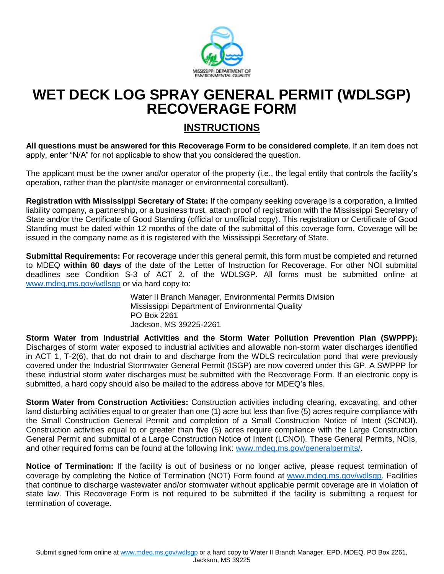

## **WET DECK LOG SPRAY GENERAL PERMIT (WDLSGP) RECOVERAGE FORM**

## **INSTRUCTIONS**

**All questions must be answered for this Recoverage Form to be considered complete**. If an item does not apply, enter "N/A" for not applicable to show that you considered the question.

The applicant must be the owner and/or operator of the property (i.e., the legal entity that controls the facility's operation, rather than the plant/site manager or environmental consultant).

**Registration with Mississippi Secretary of State:** If the company seeking coverage is a corporation, a limited liability company, a partnership, or a business trust, attach proof of registration with the Mississippi Secretary of State and/or the Certificate of Good Standing (official or unofficial copy). This registration or Certificate of Good Standing must be dated within 12 months of the date of the submittal of this coverage form. Coverage will be issued in the company name as it is registered with the Mississippi Secretary of State.

**Submittal Requirements:** For recoverage under this general permit, this form must be completed and returned to MDEQ **within 60 days** of the date of the Letter of Instruction for Recoverage. For other NOI submittal deadlines see Condition S-3 of ACT 2, of the WDLSGP. All forms must be submitted online at [www.mdeq.ms.gov/wdlsgp](http://www.mdeq.ms.gov/wdlsgp) or via hard copy to:

> Water II Branch Manager, Environmental Permits Division Mississippi Department of Environmental Quality PO Box 2261 Jackson, MS 39225-2261

**Storm Water from Industrial Activities and the Storm Water Pollution Prevention Plan (SWPPP):** Discharges of storm water exposed to industrial activities and allowable non-storm water discharges identified in ACT 1, T-2(6), that do not drain to and discharge from the WDLS recirculation pond that were previously covered under the Industrial Stormwater General Permit (ISGP) are now covered under this GP. A SWPPP for these industrial storm water discharges must be submitted with the Recoverage Form. If an electronic copy is submitted, a hard copy should also be mailed to the address above for MDEQ's files.

**Storm Water from Construction Activities:** Construction activities including clearing, excavating, and other land disturbing activities equal to or greater than one (1) acre but less than five (5) acres require compliance with the Small Construction General Permit and completion of a Small Construction Notice of Intent (SCNOI). Construction activities equal to or greater than five (5) acres require compliance with the Large Construction General Permit and submittal of a Large Construction Notice of Intent (LCNOI). These General Permits, NOIs, and other required forms can be found at the following link: www.mdeq.ms.gov/generalpermits/

**Notice of Termination:** If the facility is out of business or no longer active, please request termination of coverage by completing the Notice of Termination (NOT) Form found at [www.mdeq.ms.gov/wdlsgp.](http://www.mdeq.ms.gov/wdlsgp) Facilities that continue to discharge wastewater and/or stormwater without applicable permit coverage are in violation of state law. This Recoverage Form is not required to be submitted if the facility is submitting a request for termination of coverage.